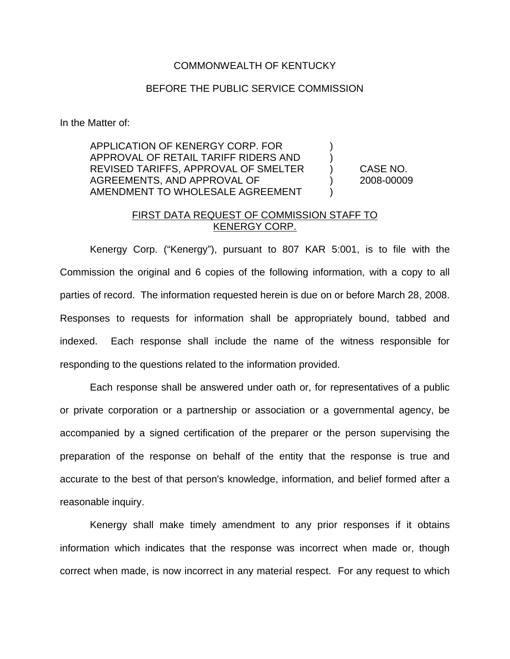## COMMONWEALTH OF KENTUCKY

## BEFORE THE PUBLIC SERVICE COMMISSION

In the Matter of:

APPLICATION OF KENERGY CORP. FOR ) APPROVAL OF RETAIL TARIFF RIDERS AND ) REVISED TARIFFS, APPROVAL OF SMELTER ) CASE NO. AGREEMENTS, AND APPROVAL OF (2008-00009) AMENDMENT TO WHOLESALE AGREEMENT )

## FIRST DATA REQUEST OF COMMISSION STAFF TO KENERGY CORP.

Kenergy Corp. ("Kenergy"), pursuant to 807 KAR 5:001, is to file with the Commission the original and 6 copies of the following information, with a copy to all parties of record. The information requested herein is due on or before March 28, 2008. Responses to requests for information shall be appropriately bound, tabbed and indexed. Each response shall include the name of the witness responsible for responding to the questions related to the information provided.

Each response shall be answered under oath or, for representatives of a public or private corporation or a partnership or association or a governmental agency, be accompanied by a signed certification of the preparer or the person supervising the preparation of the response on behalf of the entity that the response is true and accurate to the best of that person's knowledge, information, and belief formed after a reasonable inquiry.

Kenergy shall make timely amendment to any prior responses if it obtains information which indicates that the response was incorrect when made or, though correct when made, is now incorrect in any material respect. For any request to which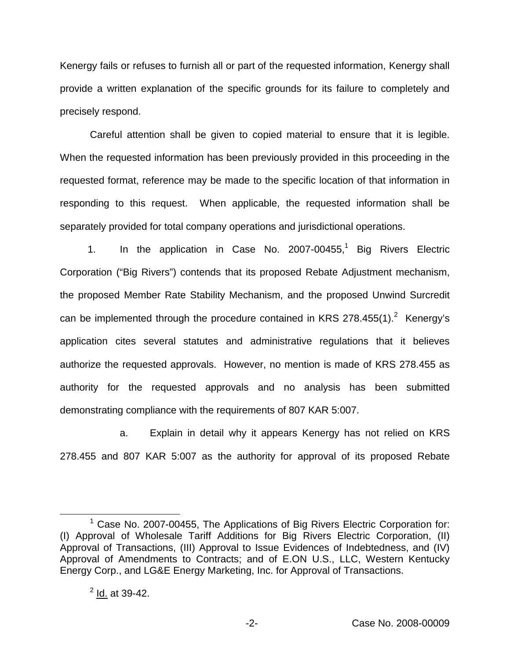Kenergy fails or refuses to furnish all or part of the requested information, Kenergy shall provide a written explanation of the specific grounds for its failure to completely and precisely respond.

Careful attention shall be given to copied material to ensure that it is legible. When the requested information has been previously provided in this proceeding in the requested format, reference may be made to the specific location of that information in responding to this request. When applicable, the requested information shall be separately provided for total company operations and jurisdictional operations.

1. In the application in Case No. 2007-00455,<sup>1</sup> Big Rivers Electric Corporation ("Big Rivers") contends that its proposed Rebate Adjustment mechanism, the proposed Member Rate Stability Mechanism, and the proposed Unwind Surcredit can be implemented through the procedure contained in KRS 278.455(1). $2$  Kenergy's application cites several statutes and administrative regulations that it believes authorize the requested approvals. However, no mention is made of KRS 278.455 as authority for the requested approvals and no analysis has been submitted demonstrating compliance with the requirements of 807 KAR 5:007.

a. Explain in detail why it appears Kenergy has not relied on KRS 278.455 and 807 KAR 5:007 as the authority for approval of its proposed Rebate

 $1$  Case No. 2007-00455, The Applications of Big Rivers Electric Corporation for: (I) Approval of Wholesale Tariff Additions for Big Rivers Electric Corporation, (II) Approval of Transactions, (III) Approval to Issue Evidences of Indebtedness, and (IV) Approval of Amendments to Contracts; and of E.ON U.S., LLC, Western Kentucky Energy Corp., and LG&E Energy Marketing, Inc. for Approval of Transactions.

 $^{2}$  Id. at 39-42.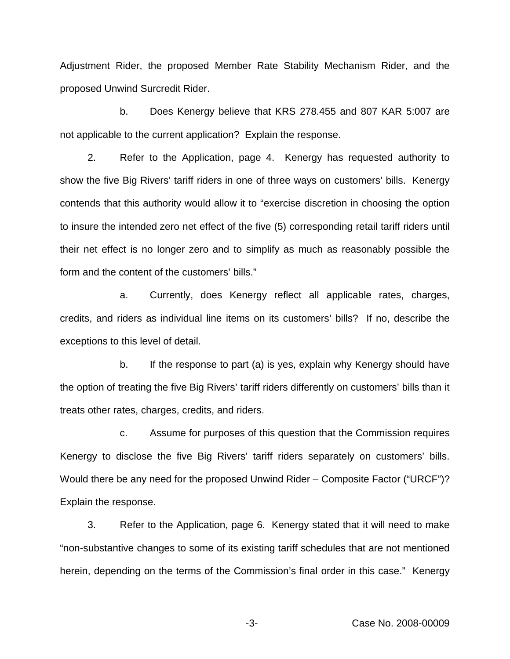Adjustment Rider, the proposed Member Rate Stability Mechanism Rider, and the proposed Unwind Surcredit Rider.

b. Does Kenergy believe that KRS 278.455 and 807 KAR 5:007 are not applicable to the current application? Explain the response.

2. Refer to the Application, page 4. Kenergy has requested authority to show the five Big Rivers' tariff riders in one of three ways on customers' bills. Kenergy contends that this authority would allow it to "exercise discretion in choosing the option to insure the intended zero net effect of the five (5) corresponding retail tariff riders until their net effect is no longer zero and to simplify as much as reasonably possible the form and the content of the customers' bills."

a. Currently, does Kenergy reflect all applicable rates, charges, credits, and riders as individual line items on its customers' bills? If no, describe the exceptions to this level of detail.

b. If the response to part (a) is yes, explain why Kenergy should have the option of treating the five Big Rivers' tariff riders differently on customers' bills than it treats other rates, charges, credits, and riders.

c. Assume for purposes of this question that the Commission requires Kenergy to disclose the five Big Rivers' tariff riders separately on customers' bills. Would there be any need for the proposed Unwind Rider – Composite Factor ("URCF")? Explain the response.

3. Refer to the Application, page 6. Kenergy stated that it will need to make "non-substantive changes to some of its existing tariff schedules that are not mentioned herein, depending on the terms of the Commission's final order in this case." Kenergy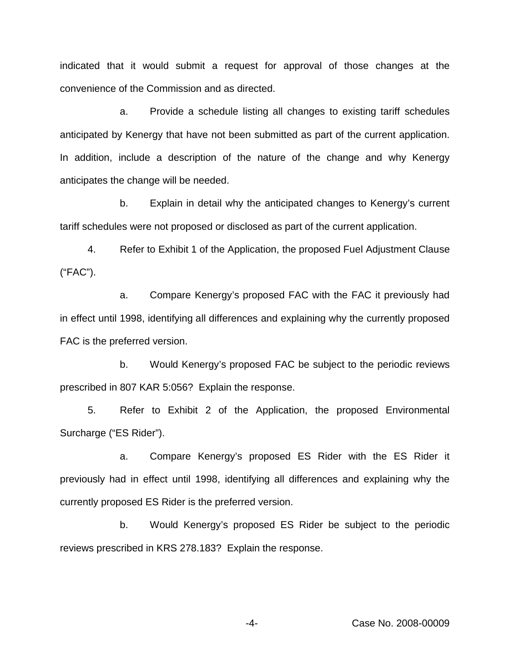indicated that it would submit a request for approval of those changes at the convenience of the Commission and as directed.

a. Provide a schedule listing all changes to existing tariff schedules anticipated by Kenergy that have not been submitted as part of the current application. In addition, include a description of the nature of the change and why Kenergy anticipates the change will be needed.

b. Explain in detail why the anticipated changes to Kenergy's current tariff schedules were not proposed or disclosed as part of the current application.

4. Refer to Exhibit 1 of the Application, the proposed Fuel Adjustment Clause ("FAC").

a. Compare Kenergy's proposed FAC with the FAC it previously had in effect until 1998, identifying all differences and explaining why the currently proposed FAC is the preferred version.

b. Would Kenergy's proposed FAC be subject to the periodic reviews prescribed in 807 KAR 5:056? Explain the response.

5. Refer to Exhibit 2 of the Application, the proposed Environmental Surcharge ("ES Rider").

a. Compare Kenergy's proposed ES Rider with the ES Rider it previously had in effect until 1998, identifying all differences and explaining why the currently proposed ES Rider is the preferred version.

b. Would Kenergy's proposed ES Rider be subject to the periodic reviews prescribed in KRS 278.183? Explain the response.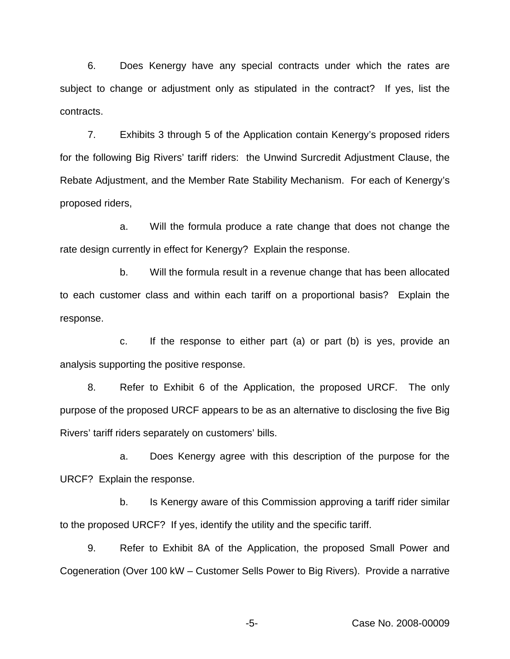6. Does Kenergy have any special contracts under which the rates are subject to change or adjustment only as stipulated in the contract? If yes, list the contracts.

7. Exhibits 3 through 5 of the Application contain Kenergy's proposed riders for the following Big Rivers' tariff riders: the Unwind Surcredit Adjustment Clause, the Rebate Adjustment, and the Member Rate Stability Mechanism. For each of Kenergy's proposed riders,

a. Will the formula produce a rate change that does not change the rate design currently in effect for Kenergy? Explain the response.

b. Will the formula result in a revenue change that has been allocated to each customer class and within each tariff on a proportional basis? Explain the response.

c. If the response to either part (a) or part (b) is yes, provide an analysis supporting the positive response.

8. Refer to Exhibit 6 of the Application, the proposed URCF. The only purpose of the proposed URCF appears to be as an alternative to disclosing the five Big Rivers' tariff riders separately on customers' bills.

a. Does Kenergy agree with this description of the purpose for the URCF? Explain the response.

b. Is Kenergy aware of this Commission approving a tariff rider similar to the proposed URCF? If yes, identify the utility and the specific tariff.

9. Refer to Exhibit 8A of the Application, the proposed Small Power and Cogeneration (Over 100 kW – Customer Sells Power to Big Rivers). Provide a narrative

-5- Case No. 2008-00009